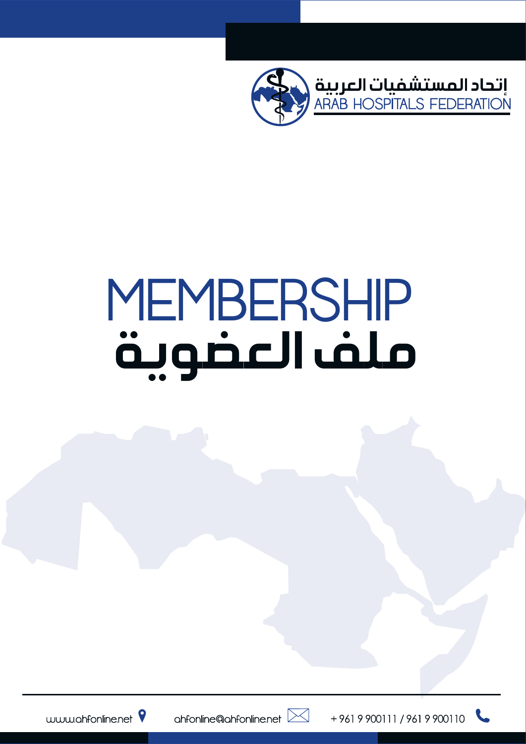

# MEMBERSHIP ملف العضوية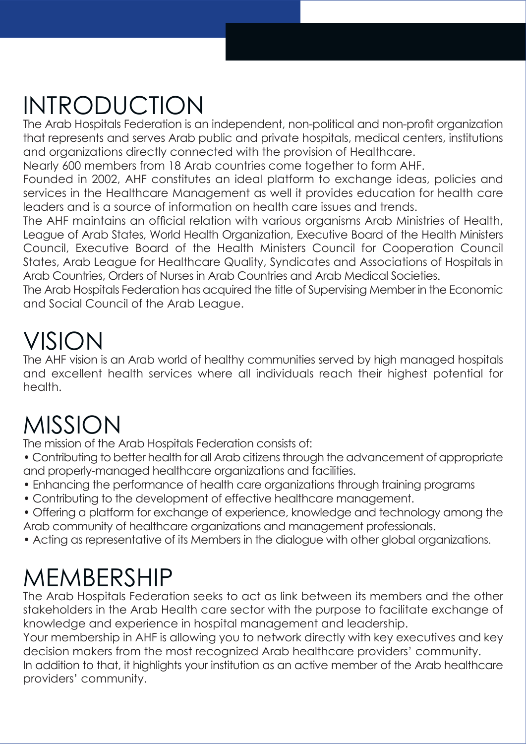# INTRODUCTION

The Arab Hospitals Federation is an independent, non-political and non-profit organization that represents and serves Arab public and private hospitals, medical centers, institutions and organizations directly connected with the provision of Healthcare.

Nearly 600 members from 18 Arab countries come together to form AHF.

Founded in 2002, AHF constitutes an ideal platform to exchange ideas, policies and services in the Healthcare Management as well it provides education for health care leaders and is a source of information on health care issues and trends.

The AHF maintains an official relation with various organisms Arab Ministries of Health, League of Arab States, World Health Organization, Executive Board of the Health Ministers Council, Executive Board of the Health Ministers Council for Cooperation Council States, Arab League for Healthcare Quality, Syndicates and Associations of Hospitals in Arab Countries, Orders of Nurses in Arab Countries and Arab Medical Societies.

The Arab Hospitals Federation has acquired the title of Supervising Member in the Economic and Social Council of the Arab League.

# VISION

The AHF vision is an Arab world of healthy communities served by high managed hospitals and excellent health services where all individuals reach their highest potential for health.

# MISSION

The mission of the Arab Hospitals Federation consists of:

- Contributing to better health for all Arab citizens through the advancement of appropriate and properly-managed healthcare organizations and facilities.
- Enhancing the performance of health care organizations through training programs
- Contributing to the development of effective healthcare management.
- Offering a platform for exchange of experience, knowledge and technology among the Arab community of healthcare organizations and management professionals.
- Acting as representative of its Members in the dialogue with other global organizations.

# MEMBERSHIP

The Arab Hospitals Federation seeks to act as link between its members and the other stakeholders in the Arab Health care sector with the purpose to facilitate exchange of knowledge and experience in hospital management and leadership.

Your membership in AHF is allowing you to network directly with key executives and key decision makers from the most recognized Arab healthcare providers' community.

In addition to that, it highlights your institution as an active member of the Arab healthcare providers' community.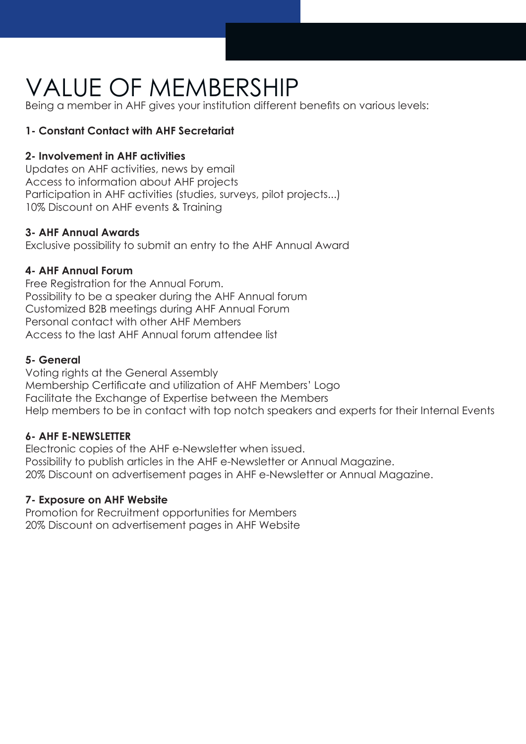# VALUE OF MEMBERSHIP

Being a member in AHF gives your institution different benefits on various levels:

#### **1- Constant Contact with AHF Secretariat**

#### **2- Involvement in AHF activities**

Updates on AHF activities, news by email Access to information about AHF projects Participation in AHF activities (studies, surveys, pilot projects...) 10% Discount on AHF events & Training

#### **3- AHF Annual Awards**

Exclusive possibility to submit an entry to the AHF Annual Award

#### **4- AHF Annual Forum**

Free Registration for the Annual Forum. Possibility to be a speaker during the AHF Annual forum Customized B2B meetings during AHF Annual Forum Personal contact with other AHF Members Access to the last AHF Annual forum attendee list

#### **5- General**

Voting rights at the General Assembly Membership Certificate and utilization of AHF Members' Logo Facilitate the Exchange of Expertise between the Members Help members to be in contact with top notch speakers and experts for their Internal Events

#### **6- AHF E-NEWSLETTER**

Electronic copies of the AHF e-Newsletter when issued. Possibility to publish articles in the AHF e-Newsletter or Annual Magazine. 20% Discount on advertisement pages in AHF e-Newsletter or Annual Magazine.

#### **7- Exposure on AHF Website**

Promotion for Recruitment opportunities for Members 20% Discount on advertisement pages in AHF Website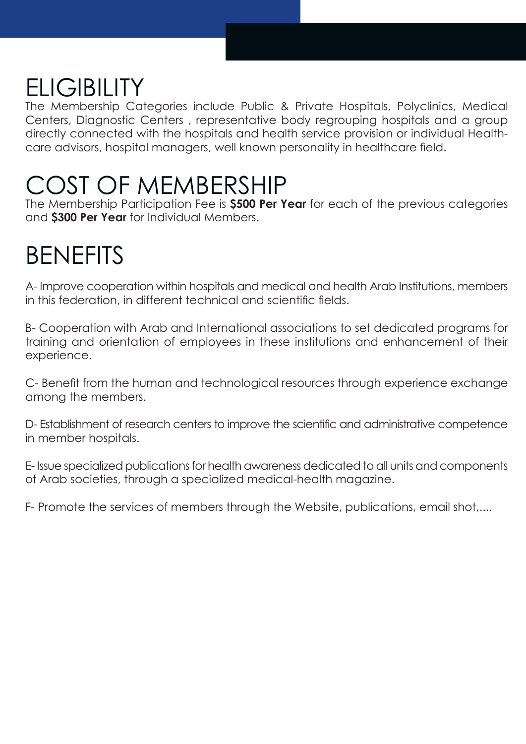# **ELIGIBILITY**

The Membership Categories include Public & Private Hospitals, Polyclinics, Medical Centers, Diagnostic Centers , representative body regrouping hospitals and a group directly connected with the hospitals and health service provision or individual Healthcare advisors, hospital managers, well known personality in healthcare field.

## COST OF MEMBERSHIP

The Membership Participation Fee is **\$500 Per Year** for each of the previous categories and **\$300 Per Year** for Individual Members.

# BENEFITS

A- Improve cooperation within hospitals and medical and health Arab Institutions, members in this federation, in different technical and scientific fields.

B- Cooperation with Arab and International associations to set dedicated programs for training and orientation of employees in these institutions and enhancement of their experience.

C- Benefit from the human and technological resources through experience exchange among the members.

D- Establishment of research centers to improve the scientific and administrative competence in member hospitals.

E- Issue specialized publications for health awareness dedicated to all units and components of Arab societies, through a specialized medical-health magazine.

F- Promote the services of members through the Website, publications, email shot,....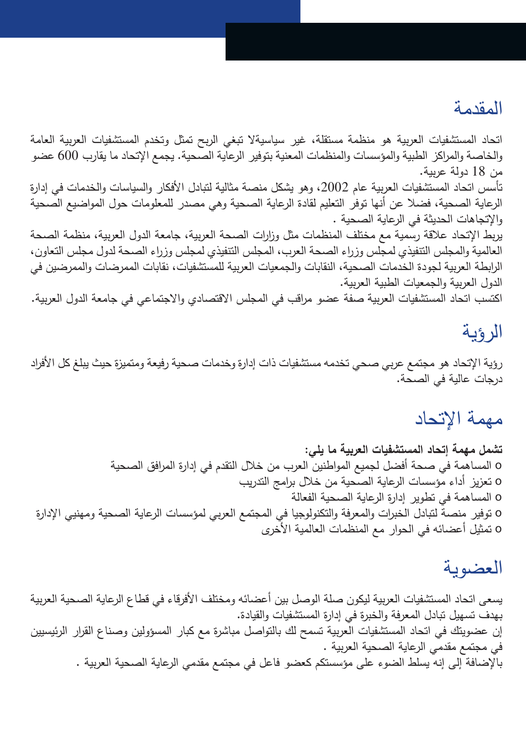#### المقدمة

اتحاد المستشفیات العربیة هو منظمة مستقلة، غیر سیاسیةلا تبغي الربح تمثل وتخدم المستشفیات العربیة العامة والخاصة والمراكز الطبیة والمؤسسات والمنظمات المعنیة بتوفیر الرعایة الصحیة. یجمع الإتحاد ما یقارب 600 عضو من 18 دولة عربیة.

تأسس اتحاد المستشفيات العربية عام 2002، وهو يشكل منصـة مثالية لتبادل الأفكار والسياسات والخدمات في إدارة الرعایة الصحیة، فضلا عن أنها توفر التعلیم لقادة الرعایة الصحیة وهي مصدر للمعلومات حول المواضیع الصحیة والإتجاهات الحدیثة في الرعایة الصحیة .

یربط الإتحاد علاقة رسمیة مع مختلف المنظمات مثل وزارات الصحة العربیة، جامعة الدول العربیة، منظمة الصحة العالمیة والمجلس التنفیذي لمجلس وزراء الصحة العرب، المجلس التنفیذي لمجلس وزراء الصحة لدول مجلس التعاون، الرابطة العربیة لجودة الخدمات الصحیة، النقابات والجمعیات العربیة للمستشفیات، نقابات الممرضات والممرضین في الدول العربیة والجمعیات الطبیة العربیة.

اكتسب اتحاد المستشفیات العربیة صفة عضو مراقب في المجلس الاقتصادي والاجتماعي في جامعة الدول العربیة.

### الرؤیة

رؤیة الإتحاد هو مجتمع عربي صحي تخدمه مستشفیات ذات إدارة وخدمات صحیة رفیعة ومتمیزة حیث یبلغ كل الأفراد درجات عالیة في الصحة.

### مهمة الإتحاد

**تشمل مهمة إتحاد المستشفیات العربیة ما یلي:** o المساهمة في صحة أفضل لجمیع المواطنین العرب من خلال التقدم في إدارة المرافق الصحیة o تعزیز أداء مؤسسات الرعایة الصحیة من خلال برامج التدریب o المساهمة في تطویر إدارة الرعایة الصحیة الفعالة o توفیر منصة لتبادل الخبرات والمعرفة والتكنولوجیا في المجتمع العربي لمؤسسات الرعایة الصحیة ومهنیي الإدارة o تمثیل أعضائه في الحوار مع المنظمات العالمیة الأخرى

### العضویة

یسعى اتحاد المستشفیات العربیة لیكون صلة الوصل بین أعضائه ومختلف الأفرقاء في قطاع الرعایة الصحیة العربیة بهدف تسهیل تبادل المعرفة والخبرة في إدارة المستشفیات والقیادة. إن عضویتك في اتحاد المستشفیات العربیة تسمح لك بالتواصل مباشرة مع كبار المسؤولین وصناع القرار الرئیسیین في مجتمع مقدمي الرعایة الصحیة العربیة . بالإضافة إلى إنه یسلط الضوء على مؤسستكم كعضو فاعل في مجتمع مقدمي الرعایة الصحیة العربیة .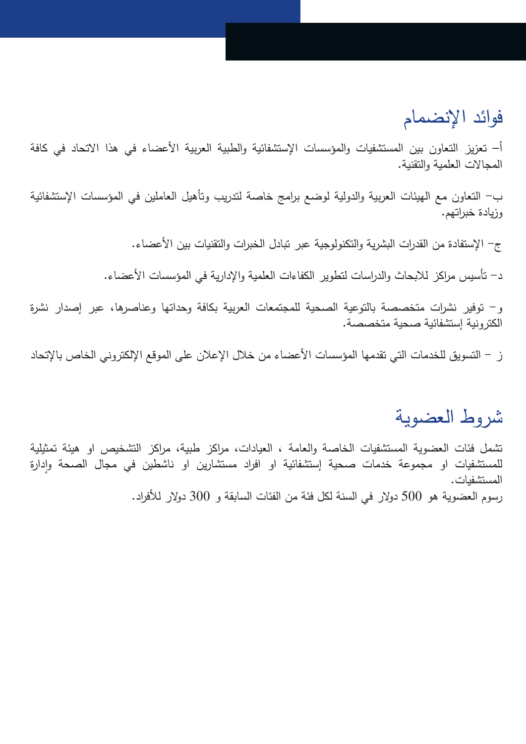### فوائد الإنضمام

أ– تعزیز التعاون بین المستشفیات والمؤسسات الإستشفائیة والطبیة العربیة الأعضاء في هذا الاتحاد في كافة المجالات العلمیة والتقنیة.

ب- التعاون مع الهیئات العربیة والدولیة لوضع برامج خاصة لتدریب وتأهیل العاملین في المؤسسات الإستشفائیة وزیادة خبراتهم.

ج- الإستفادة من القدرات البشریة والتكنولوجیة عبر تبادل الخبرات والتقنیات بین الأعضاء.

د- تأسیس مراكز للابحاث والدراسات لتطویر الكفاءات العلمیة والإداریة في المؤسسات الأعضاء.

و- توفیر نشرات متخصصة بالتوعیة الصحیة للمجتمعات العربیة بكافة وحداتها وعناصرها، عبر إصدار نشرة الكترونیة إستشفائیة صحیة متخصصة.

ز - التسویق للخدمات التي تقدمها المؤسسات الأعضاء من خلال الإعلان على الموقع الإلكتروني الخاص بالإتحاد

### شروط العضویة

تشمل فئات العضویة المستشفیات الخاصة والعامة ، العیادات، مراكز طبیة، مراكز التشخیص او هیئة تمثیلیة لمستشفيات او مجموعة خدمات صحية إستشفائية او افراد مستشارين او ناشطين في مجال الصحة وإدارة المستشفیات. رسوم العضویة هو 500 دولار في السنة لكل فئة من الفئات السابقة و 300 دولار للأفراد.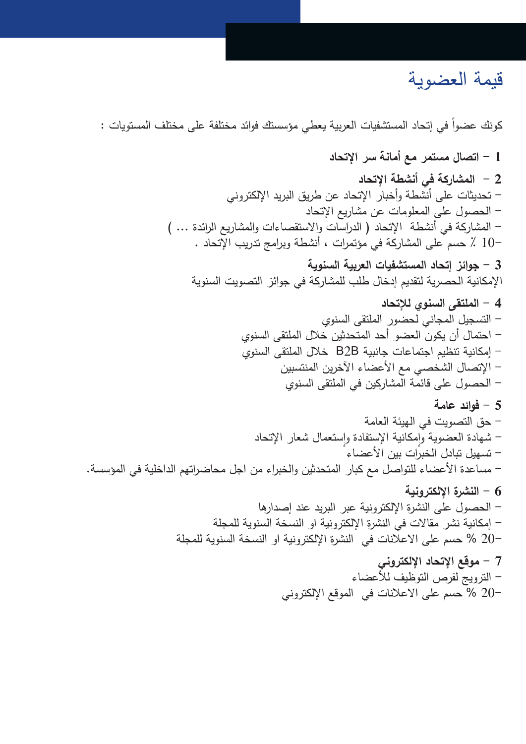### قیمة العضویة

كونك عضوا في إتحاد المستشفيات العربية يعطي مؤسستك فوائد مختلفة على مختلف المستويات :

**1 - اتصال مستمر مع أمانة سر الإتحاد 2 - المشاركة في أنشطة الإتحاد** - تحدیثات على أنشطة وأخبار الإتحاد عن طریق البرید الإلكتروني - الحصول على المعلومات عن مشاریع الإتحاد - المشاركة في أنشطة الإتحاد ( الدراسات والاستقصاءات والمشاریع الرائدة ... ) 10- ٪ حسم على المشاركة في مؤتمرات ، أنشطة وبرامج تدریب الإتحاد . **3 - جوائز إتحاد المستشفیات العربیة السنویة** الإمكانیة الحصریة لتقدیم إدخال طلب للمشاركة في جوائز التصویت السنویة **4 - الملتقى السنوي للإتحاد** - التسجیل المجاني لحضور الملتقى السنوي - احتمال أن یكون العضو أحد المتحدثین خلال الملتقى السنوي - إمكانیة تنظیم اجتماعات جانبیة B2B خلال الملتقى السنوي - الإتصال الشخصي مع الأعضاء الآخرین المنتسبین - الحصول على قائمة المشاركین في الملتقى السنوي **5 - فوائد عامة** - حق التصویت في الهیئة العامة – شهادة العضوية وإمكانية الإستفادة وإستعمال شعار الإتحاد - تسهیل تبادل الخبرات بین الأعضاء - مساعدة الأعضاء للتواصل مع كبار المتحدثین والخبراء من اجل محاضراتهم الداخلیة في المؤسسة. **6 - النشرة الإلكترونیة** - الحصول على النشرة الإلكترونیة عبر البرید عند إصدارها - إمكانیة نشر مقالات في النشرة الإلكترونیة او النسخة السنویة للمجلة 20- % حسم على الاعلانات في النشرة الإلكترونیة او النسخة السنویة للمجلة **7 - موقع الإتحاد الإلكتروني**  - الترویج لفرص التوظیف للأعضاء 20- % حسم على الاعلانات في الموقع الإلكتروني